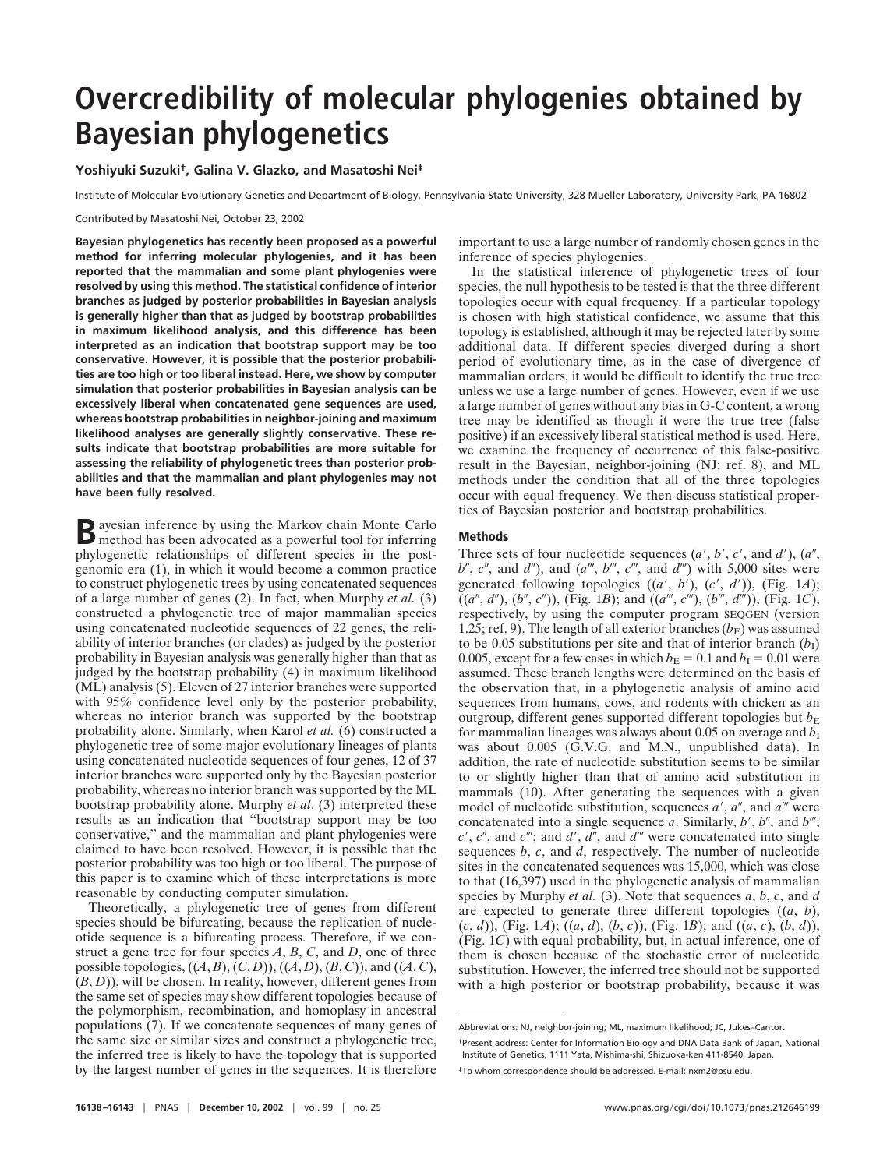# **Overcredibility of molecular phylogenies obtained by Bayesian phylogenetics**

## **Yoshiyuki Suzuki†, Galina V. Glazko, and Masatoshi Nei‡**

Institute of Molecular Evolutionary Genetics and Department of Biology, Pennsylvania State University, 328 Mueller Laboratory, University Park, PA 16802

Contributed by Masatoshi Nei, October 23, 2002

**Bayesian phylogenetics has recently been proposed as a powerful method for inferring molecular phylogenies, and it has been reported that the mammalian and some plant phylogenies were resolved by using this method. The statistical confidence of interior branches as judged by posterior probabilities in Bayesian analysis is generally higher than that as judged by bootstrap probabilities in maximum likelihood analysis, and this difference has been interpreted as an indication that bootstrap support may be too conservative. However, it is possible that the posterior probabilities are too high or too liberal instead. Here, we show by computer simulation that posterior probabilities in Bayesian analysis can be excessively liberal when concatenated gene sequences are used, whereas bootstrap probabilities in neighbor-joining and maximum likelihood analyses are generally slightly conservative. These results indicate that bootstrap probabilities are more suitable for assessing the reliability of phylogenetic trees than posterior probabilities and that the mammalian and plant phylogenies may not have been fully resolved.**

**B**ayesian inference by using the Markov chain Monte Carlo<br>method has been advocated as a powerful tool for inferring phylogenetic relationships of different species in the postgenomic era (1), in which it would become a common practice to construct phylogenetic trees by using concatenated sequences of a large number of genes (2). In fact, when Murphy *et al.* (3) constructed a phylogenetic tree of major mammalian species using concatenated nucleotide sequences of 22 genes, the reliability of interior branches (or clades) as judged by the posterior probability in Bayesian analysis was generally higher than that as judged by the bootstrap probability (4) in maximum likelihood (ML) analysis (5). Eleven of 27 interior branches were supported with 95% confidence level only by the posterior probability, whereas no interior branch was supported by the bootstrap probability alone. Similarly, when Karol *et al.* (6) constructed a phylogenetic tree of some major evolutionary lineages of plants using concatenated nucleotide sequences of four genes, 12 of 37 interior branches were supported only by the Bayesian posterior probability, whereas no interior branch was supported by the ML bootstrap probability alone. Murphy *et al*. (3) interpreted these results as an indication that ''bootstrap support may be too conservative,'' and the mammalian and plant phylogenies were claimed to have been resolved. However, it is possible that the posterior probability was too high or too liberal. The purpose of this paper is to examine which of these interpretations is more reasonable by conducting computer simulation.

Theoretically, a phylogenetic tree of genes from different species should be bifurcating, because the replication of nucleotide sequence is a bifurcating process. Therefore, if we construct a gene tree for four species *A*, *B*, *C*, and *D*, one of three possible topologies,  $((A, B), (C, D)), ((A, D), (B, C))$ , and  $((A, C),$ (*B*, *D*)), will be chosen. In reality, however, different genes from the same set of species may show different topologies because of the polymorphism, recombination, and homoplasy in ancestral populations (7). If we concatenate sequences of many genes of the same size or similar sizes and construct a phylogenetic tree, the inferred tree is likely to have the topology that is supported by the largest number of genes in the sequences. It is therefore

important to use a large number of randomly chosen genes in the inference of species phylogenies.

In the statistical inference of phylogenetic trees of four species, the null hypothesis to be tested is that the three different topologies occur with equal frequency. If a particular topology is chosen with high statistical confidence, we assume that this topology is established, although it may be rejected later by some additional data. If different species diverged during a short period of evolutionary time, as in the case of divergence of mammalian orders, it would be difficult to identify the true tree unless we use a large number of genes. However, even if we use a large number of genes without any bias in G-C content, a wrong tree may be identified as though it were the true tree (false positive) if an excessively liberal statistical method is used. Here, we examine the frequency of occurrence of this false-positive result in the Bayesian, neighbor-joining (NJ; ref. 8), and ML methods under the condition that all of the three topologies occur with equal frequency. We then discuss statistical properties of Bayesian posterior and bootstrap probabilities.

### **Methods**

Three sets of four nucleotide sequences  $(a', b', c',$  and  $d'$ ),  $(a'', b'', a'')$ *b*", *c*", and *d*"), and (*a*<sup>m</sup>, *b*", *c*"', and *d*"') with 5,000 sites were generated following topologies ((*a*, *b*), (*c*, *d*)), (Fig. 1*A*); ((*a*-, *d*-), (*b*-, *c*-)), (Fig. 1*B*); and ((*a*, *c*), (*b*, *d*)), (Fig. 1*C*), respectively, by using the computer program SEQGEN (version 1.25; ref. 9). The length of all exterior branches  $(b<sub>E</sub>)$  was assumed to be 0.05 substitutions per site and that of interior branch  $(b<sub>I</sub>)$ 0.005, except for a few cases in which  $b_E = 0.1$  and  $b_I = 0.01$  were assumed. These branch lengths were determined on the basis of the observation that, in a phylogenetic analysis of amino acid sequences from humans, cows, and rodents with chicken as an outgroup, different genes supported different topologies but  $b_{\rm E}$ for mammalian lineages was always about  $0.05$  on average and  $b<sub>I</sub>$ was about 0.005 (G.V.G. and M.N., unpublished data). In addition, the rate of nucleotide substitution seems to be similar to or slightly higher than that of amino acid substitution in mammals (10). After generating the sequences with a given model of nucleotide substitution, sequences  $a'$ ,  $a''$ , and  $a'''$  were concatenated into a single sequence  $a$ . Similarly,  $b'$ ,  $b''$ , and  $b'''$ ;  $c'$ ,  $c''$ , and  $c'''$ ; and  $d'$ ,  $d''$ , and  $d'''$  were concatenated into single sequences *b*, *c*, and *d*, respectively. The number of nucleotide sites in the concatenated sequences was 15,000, which was close to that (16,397) used in the phylogenetic analysis of mammalian species by Murphy *et al.* (3). Note that sequences *a*, *b*, *c*, and *d* are expected to generate three different topologies ((*a*, *b*), (*c*, *d*)), (Fig. 1*A*); ((*a*, *d*), (*b*, *c*)), (Fig. 1*B*); and ((*a*, *c*), (*b*, *d*)), (Fig. 1*C*) with equal probability, but, in actual inference, one of them is chosen because of the stochastic error of nucleotide substitution. However, the inferred tree should not be supported with a high posterior or bootstrap probability, because it was

Abbreviations: NJ, neighbor-joining; ML, maximum likelihood; JC, Jukes–Cantor.

<sup>†</sup>Present address: Center for Information Biology and DNA Data Bank of Japan, National Institute of Genetics, 1111 Yata, Mishima-shi, Shizuoka-ken 411-8540, Japan. ‡To whom correspondence should be addressed. E-mail: nxm2@psu.edu.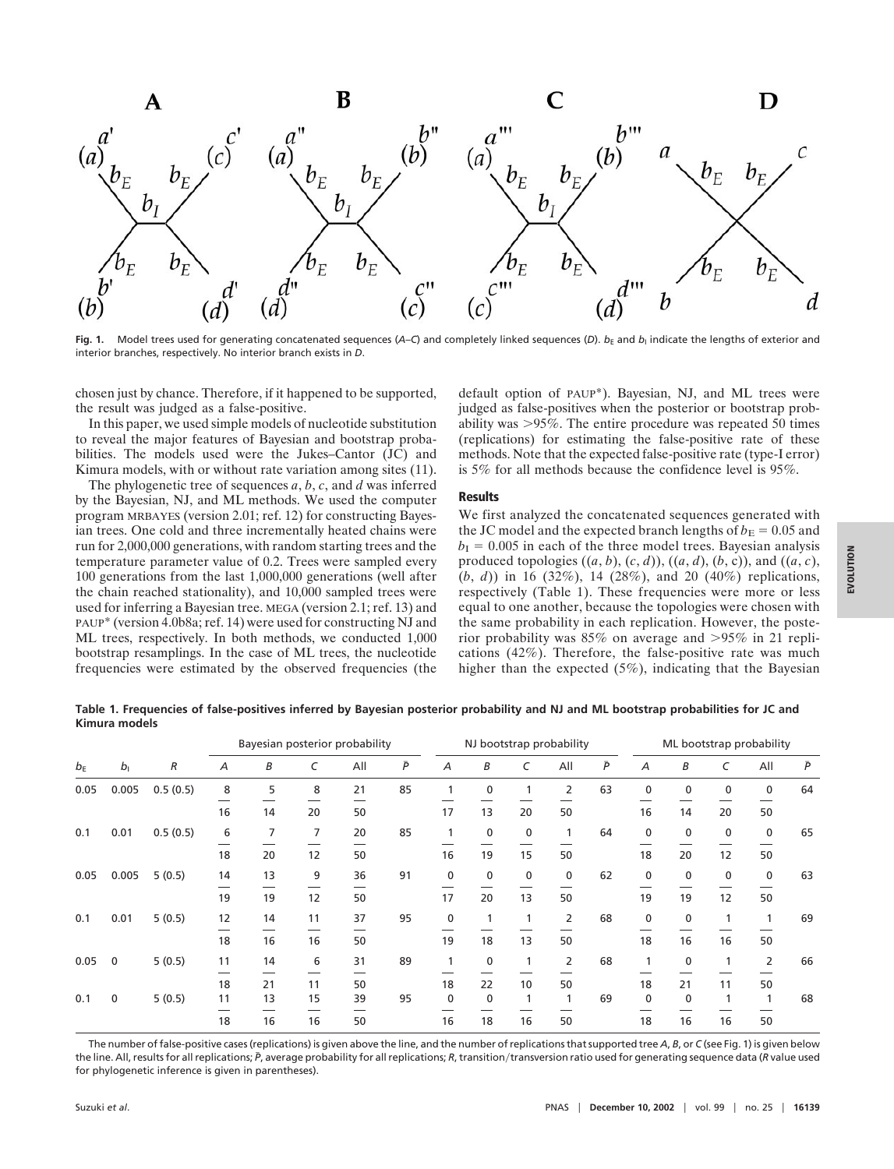

Fig. 1. Model trees used for generating concatenated sequences ( $A-C$ ) and completely linked sequences ( $D$ ).  $b<sub>E</sub>$  and  $b<sub>I</sub>$  indicate the lengths of exterior and interior branches, respectively. No interior branch exists in *D*.

chosen just by chance. Therefore, if it happened to be supported, the result was judged as a false-positive.

In this paper, we used simple models of nucleotide substitution to reveal the major features of Bayesian and bootstrap probabilities. The models used were the Jukes–Cantor (JC) and Kimura models, with or without rate variation among sites (11).

The phylogenetic tree of sequences *a*, *b*, *c*, and *d* was inferred by the Bayesian, NJ, and ML methods. We used the computer program MRBAYES (version 2.01; ref. 12) for constructing Bayesian trees. One cold and three incrementally heated chains were run for 2,000,000 generations, with random starting trees and the temperature parameter value of 0.2. Trees were sampled every 100 generations from the last 1,000,000 generations (well after the chain reached stationality), and 10,000 sampled trees were used for inferring a Bayesian tree. MEGA (version 2.1; ref. 13) and PAUP\* (version 4.0b8a; ref. 14) were used for constructing NJ and ML trees, respectively. In both methods, we conducted 1,000 bootstrap resamplings. In the case of ML trees, the nucleotide frequencies were estimated by the observed frequencies (the default option of PAUP\*). Bayesian, NJ, and ML trees were judged as false-positives when the posterior or bootstrap probability was 95%. The entire procedure was repeated 50 times (replications) for estimating the false-positive rate of these methods. Note that the expected false-positive rate (type-I error) is 5% for all methods because the confidence level is 95%.

#### **Results**

We first analyzed the concatenated sequences generated with the JC model and the expected branch lengths of  $b_E = 0.05$  and  $b<sub>I</sub> = 0.005$  in each of the three model trees. Bayesian analysis produced topologies  $((a, b), (c, d)), ((a, d), (b, c))$ , and  $((a, c),$ (*b*, *d*)) in 16 (32%), 14 (28%), and 20 (40%) replications, respectively (Table 1). These frequencies were more or less equal to one another, because the topologies were chosen with the same probability in each replication. However, the posterior probability was  $85\%$  on average and  $>95\%$  in 21 replications (42%). Therefore, the false-positive rate was much higher than the expected (5%), indicating that the Bayesian

**Table 1. Frequencies of false-positives inferred by Bayesian posterior probability and NJ and ML bootstrap probabilities for JC and Kimura models**

| $b_{\rm E}$ | b <sub>1</sub> | R        | Bayesian posterior probability |          |          |          |           | NJ bootstrap probability |         |         |                      |           | ML bootstrap probability |                    |         |                   |    |
|-------------|----------------|----------|--------------------------------|----------|----------|----------|-----------|--------------------------|---------|---------|----------------------|-----------|--------------------------|--------------------|---------|-------------------|----|
|             |                |          | A                              | B        | C        | All      | $\bar{P}$ | Α                        | В       | C       | All                  | $\bar{P}$ | Α                        | В                  | C       | All               | P  |
| 0.05        | 0.005          | 0.5(0.5) | 8                              | 5        | 8        | 21       | 85        |                          | 0       |         | 2                    | 63        | $\mathbf 0$              | $\mathbf 0$        | 0       | $\mathbf 0$       | 64 |
|             |                |          | 16                             | 14       | 20       | 50       |           | 17                       | 13      | 20      | 50                   |           | 16                       | 14                 | 20      | 50                |    |
| 0.1         | 0.01           | 0.5(0.5) | 6                              | 7        | 7        | 20       | 85        |                          | 0       | 0       |                      | 64        | 0                        | 0                  | 0       | $\mathbf 0$       | 65 |
|             |                |          | 18                             | 20       | 12       | 50       |           | 16                       | 19      | 15      | 50                   |           | 18                       | 20                 | 12      | 50                |    |
| 0.05        | 0.005          | 5(0.5)   | 14<br>19                       | 13<br>19 | 9<br>12  | 36<br>50 | 91        | 0<br>17                  | 0<br>20 | 0<br>13 | $\mathbf 0$<br>50    | 62        | 0<br>19                  | 0<br>19            | 0<br>12 | $\mathbf 0$<br>50 | 63 |
| 0.1         | 0.01           | 5(0.5)   | 12<br>18                       | 14<br>16 | 11<br>16 | 37<br>50 | 95        | 0<br>19                  | 18      | 13      | 2<br>50              | 68        | $\mathbf 0$<br>18        | 0<br>16            | 16      | 1<br>50           | 69 |
| 0.05        | $\mathbf 0$    | 5(0.5)   | 11<br>18                       | 14<br>21 | 6<br>11  | 31<br>50 | 89        | 18                       | 0<br>22 | 10      | $\overline{2}$<br>50 | 68        | 1<br>18                  | 0<br>21            | 1<br>11 | 2<br>50           | 66 |
| 0.1         | 0              | 5(0.5)   | 11<br>18                       | 13<br>16 | 15<br>16 | 39<br>50 | 95        | $\mathbf{0}$<br>16       | 0<br>18 | 16      | 50                   | 69        | $\Omega$<br>18           | $\mathbf{0}$<br>16 | 16      | 50                | 68 |

The number of false-positive cases (replications) is given above the line, and the number of replications that supported tree *A*, *B*, or *C* (see Fig. 1) is given below the line. All, results for all replications;  $\bar{P}$ , average probability for all replications; *R*, transition/transversion ratio used for generating sequence data (*R* value used for phylogenetic inference is given in parentheses).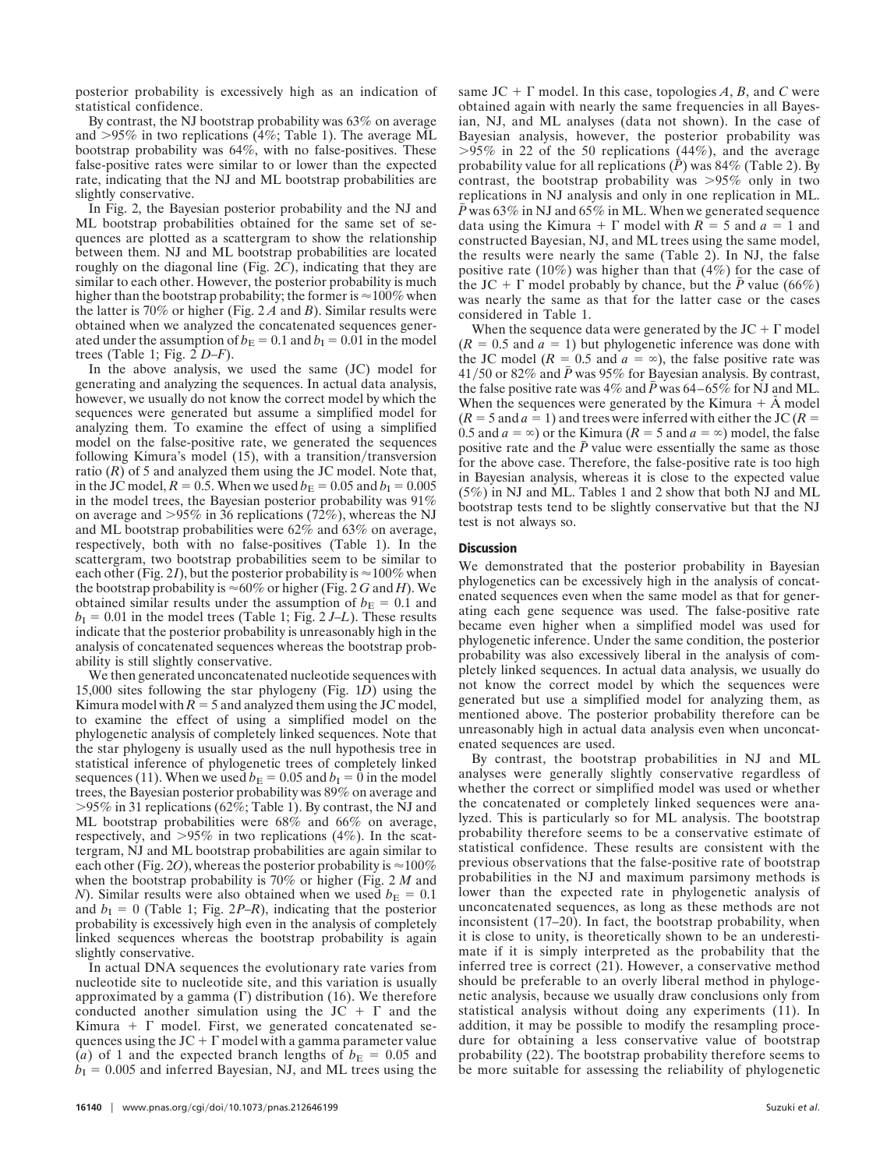posterior probability is excessively high as an indication of statistical confidence.

By contrast, the NJ bootstrap probability was 63% on average and  $>95\%$  in two replications (4%; Table 1). The average ML bootstrap probability was 64%, with no false-positives. These false-positive rates were similar to or lower than the expected rate, indicating that the NJ and ML bootstrap probabilities are slightly conservative.

In Fig. 2, the Bayesian posterior probability and the NJ and ML bootstrap probabilities obtained for the same set of sequences are plotted as a scattergram to show the relationship between them. NJ and ML bootstrap probabilities are located roughly on the diagonal line (Fig. 2*C*), indicating that they are similar to each other. However, the posterior probability is much higher than the bootstrap probability; the former is  $\approx$  100% when the latter is 70% or higher (Fig. 2 *A* and *B*). Similar results were obtained when we analyzed the concatenated sequences generated under the assumption of  $b_E = 0.1$  and  $b_I = 0.01$  in the model trees (Table 1; Fig. 2 *D*–*F*).

In the above analysis, we used the same (JC) model for generating and analyzing the sequences. In actual data analysis, however, we usually do not know the correct model by which the sequences were generated but assume a simplified model for analyzing them. To examine the effect of using a simplified model on the false-positive rate, we generated the sequences following Kimura's model (15), with a transition/transversion ratio (*R*) of 5 and analyzed them using the JC model. Note that, in the JC model,  $R = 0.5$ . When we used  $b<sub>E</sub> = 0.05$  and  $b<sub>I</sub> = 0.005$ in the model trees, the Bayesian posterior probability was 91% on average and  $>95\%$  in 36 replications (72%), whereas the NJ and ML bootstrap probabilities were 62% and 63% on average, respectively, both with no false-positives (Table 1). In the scattergram, two bootstrap probabilities seem to be similar to each other (Fig. 2*I*), but the posterior probability is  $\approx$  100% when the bootstrap probability is  $\approx 60\%$  or higher (Fig. 2 *G* and *H*). We obtained similar results under the assumption of  $b_E = 0.1$  and  $b<sub>I</sub> = 0.01$  in the model trees (Table 1; Fig. 2 *J–L*). These results indicate that the posterior probability is unreasonably high in the analysis of concatenated sequences whereas the bootstrap probability is still slightly conservative.

We then generated unconcatenated nucleotide sequences with 15,000 sites following the star phylogeny (Fig. 1*D*) using the Kimura model with  $R = 5$  and analyzed them using the JC model, to examine the effect of using a simplified model on the phylogenetic analysis of completely linked sequences. Note that the star phylogeny is usually used as the null hypothesis tree in statistical inference of phylogenetic trees of completely linked sequences (11). When we used  $b_E = 0.05$  and  $b_I = 0$  in the model trees, the Bayesian posterior probability was 89% on average and 95% in 31 replications (62%; Table 1). By contrast, the NJ and ML bootstrap probabilities were 68% and 66% on average, respectively, and  $>95\%$  in two replications (4%). In the scattergram, NJ and ML bootstrap probabilities are again similar to each other (Fig. 2*O*), whereas the posterior probability is  $\approx 100\%$ when the bootstrap probability is 70% or higher (Fig. 2 *M* and *N*). Similar results were also obtained when we used  $b_E = 0.1$ and  $b_I = 0$  (Table 1; Fig. 2P–*R*), indicating that the posterior probability is excessively high even in the analysis of completely linked sequences whereas the bootstrap probability is again slightly conservative.

In actual DNA sequences the evolutionary rate varies from nucleotide site to nucleotide site, and this variation is usually approximated by a gamma  $(\Gamma)$  distribution (16). We therefore conducted another simulation using the JC +  $\Gamma$  and the Kimura  $+ \Gamma$  model. First, we generated concatenated sequences using the  $JC + \Gamma$  model with a gamma parameter value (*a*) of 1 and the expected branch lengths of  $b_E = 0.05$  and  $b<sub>I</sub> = 0.005$  and inferred Bayesian, NJ, and ML trees using the

same  $JC + \Gamma$  model. In this case, topologies *A*, *B*, and *C* were obtained again with nearly the same frequencies in all Bayesian, NJ, and ML analyses (data not shown). In the case of Bayesian analysis, however, the posterior probability was  $>95\%$  in 22 of the 50 replications (44%), and the average probability value for all replications  $(\vec{P})$  was 84% (Table 2). By contrast, the bootstrap probability was  $>95\%$  only in two replications in NJ analysis and only in one replication in ML.  $\bar{P}$  was 63% in NJ and 65% in ML. When we generated sequence data using the Kimura  $+ \Gamma$  model with  $R = 5$  and  $a = 1$  and constructed Bayesian, NJ, and ML trees using the same model, the results were nearly the same (Table 2). In NJ, the false positive rate (10%) was higher than that (4%) for the case of the JC +  $\Gamma$  model probably by chance, but the  $\bar{P}$  value (66%) was nearly the same as that for the latter case or the cases considered in Table 1.

When the sequence data were generated by the  $JC + \Gamma$  model  $(R = 0.5$  and  $a = 1)$  but phylogenetic inference was done with the JC model ( $R = 0.5$  and  $a = \infty$ ), the false positive rate was 41/50 or 82% and  $\bar{P}$  was 95% for Bayesian analysis. By contrast, the false positive rate was  $4\%$  and  $\overline{P}$  was  $64-65\%$  for NJ and ML. When the sequences were generated by the Kimura  $+$  A model  $(R = 5$  and  $a = 1)$  and trees were inferred with either the JC ( $R = 1$ 0.5 and  $a = \infty$ ) or the Kimura ( $R = 5$  and  $a = \infty$ ) model, the false positive rate and the  $\bar{P}$  value were essentially the same as those for the above case. Therefore, the false-positive rate is too high in Bayesian analysis, whereas it is close to the expected value (5%) in NJ and ML. Tables 1 and 2 show that both NJ and ML bootstrap tests tend to be slightly conservative but that the NJ test is not always so.

#### **Discussion**

We demonstrated that the posterior probability in Bayesian phylogenetics can be excessively high in the analysis of concatenated sequences even when the same model as that for generating each gene sequence was used. The false-positive rate became even higher when a simplified model was used for phylogenetic inference. Under the same condition, the posterior probability was also excessively liberal in the analysis of completely linked sequences. In actual data analysis, we usually do not know the correct model by which the sequences were generated but use a simplified model for analyzing them, as mentioned above. The posterior probability therefore can be unreasonably high in actual data analysis even when unconcatenated sequences are used.

By contrast, the bootstrap probabilities in NJ and ML analyses were generally slightly conservative regardless of whether the correct or simplified model was used or whether the concatenated or completely linked sequences were analyzed. This is particularly so for ML analysis. The bootstrap probability therefore seems to be a conservative estimate of statistical confidence. These results are consistent with the previous observations that the false-positive rate of bootstrap probabilities in the NJ and maximum parsimony methods is lower than the expected rate in phylogenetic analysis of unconcatenated sequences, as long as these methods are not inconsistent (17–20). In fact, the bootstrap probability, when it is close to unity, is theoretically shown to be an underestimate if it is simply interpreted as the probability that the inferred tree is correct (21). However, a conservative method should be preferable to an overly liberal method in phylogenetic analysis, because we usually draw conclusions only from statistical analysis without doing any experiments (11). In addition, it may be possible to modify the resampling procedure for obtaining a less conservative value of bootstrap probability (22). The bootstrap probability therefore seems to be more suitable for assessing the reliability of phylogenetic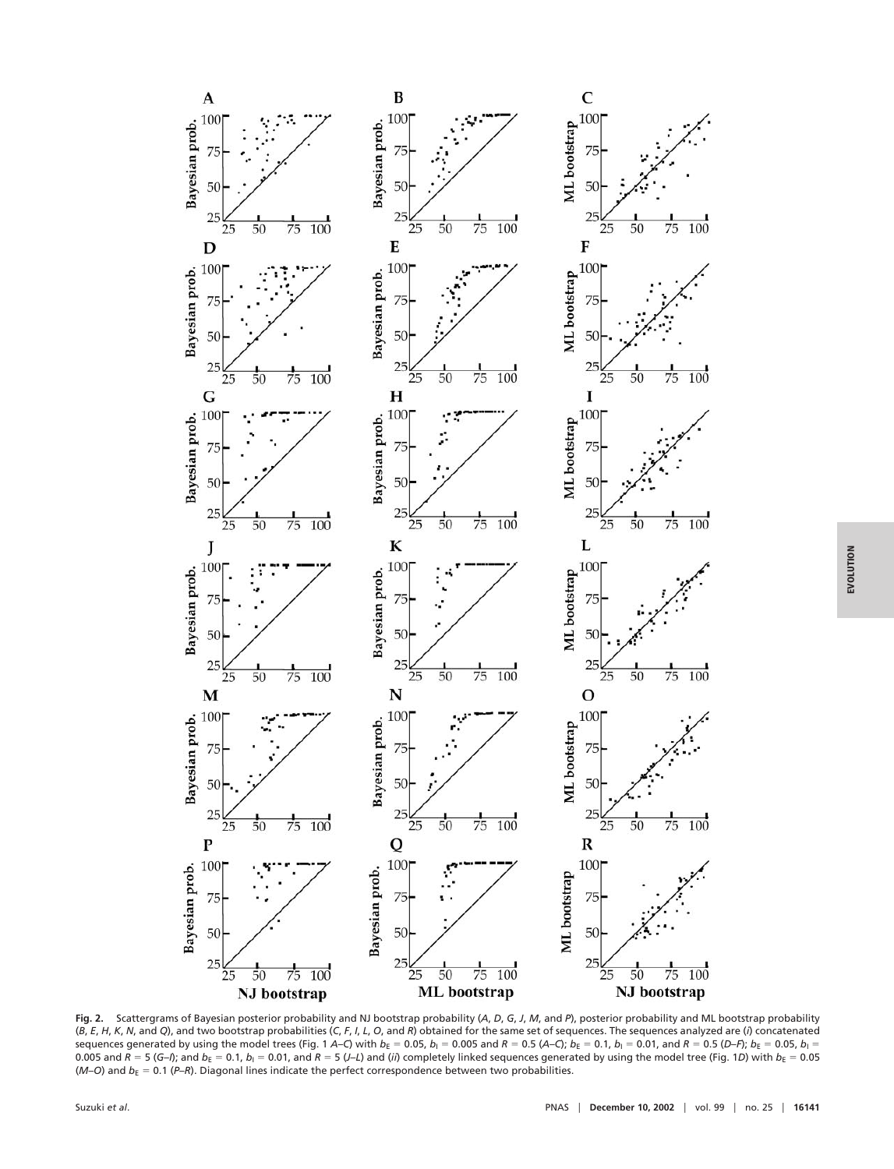

**Fig. 2.** Scattergrams of Bayesian posterior probability and NJ bootstrap probability (*A*, *D*, *G*, *J*, *M*, and *P*), posterior probability and ML bootstrap probability  $(B, E, H, K, N,$  and Q), and two bootstrap probabilities  $(C, F, I, L, O,$  and R) obtained for the same set of sequences. The sequences analyzed are (i) concatenated sequences generated by using the model trees (Fig. 1 A-C) with  $b_E = 0.05$ ,  $b_l = 0.005$  and  $R = 0.5$  (A-C);  $b_E = 0.1$ ,  $b_l = 0.01$ , and  $R = 0.5$  (D-F);  $b_E = 0.05$ ,  $b_l = 0.01$ 0.005 and  $R = 5$  (*G–I*); and  $b_E = 0.1$ ,  $b_I = 0.01$ , and  $R = 5$  (*J–L*) and (*ii*) completely linked sequences generated by using the model tree (Fig. 1*D*) with  $b_E = 0.05$ ( $M$ –O) and  $b_E = 0.1$  ( $P$ –R). Diagonal lines indicate the perfect correspondence between two probabilities.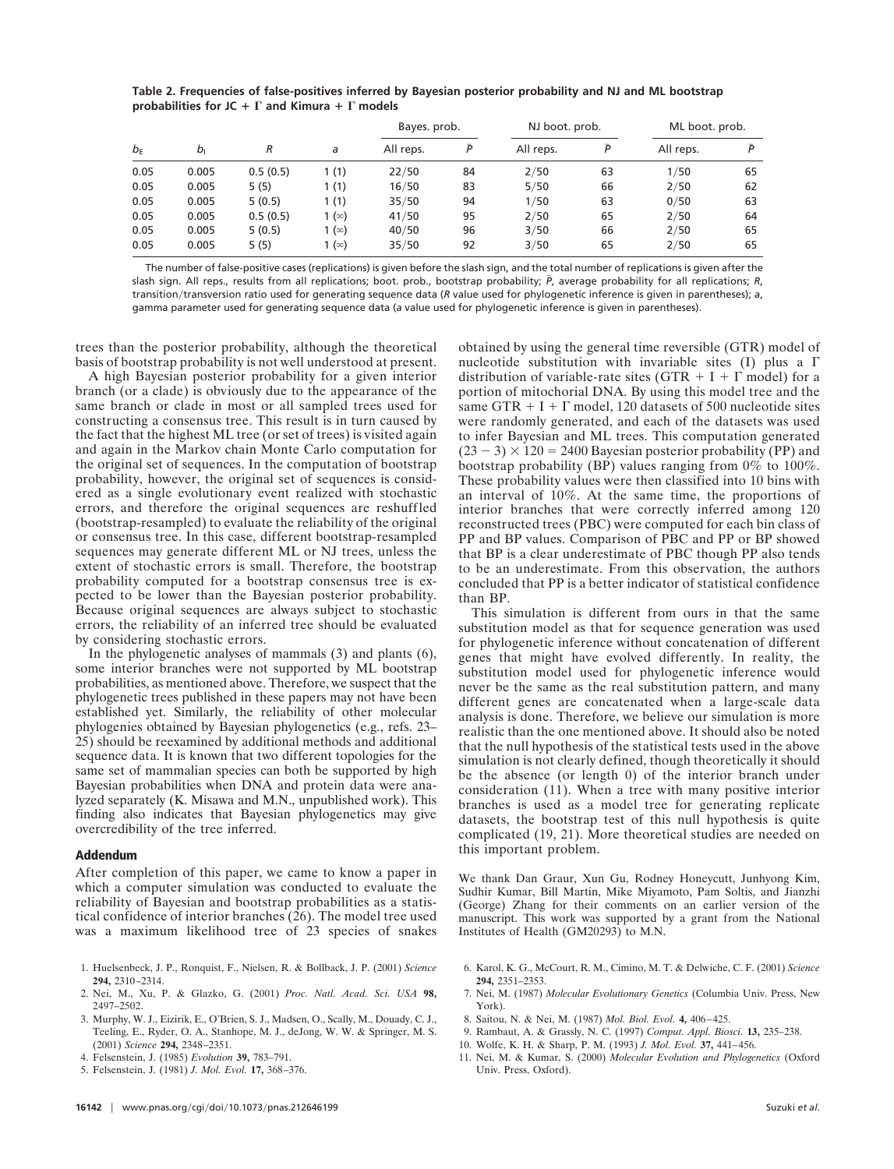|             |       |          | a              | Bayes, prob. |    | NJ boot. prob. |    | ML boot. prob. |    |  |
|-------------|-------|----------|----------------|--------------|----|----------------|----|----------------|----|--|
| $b_{\rm F}$ | $b_1$ | R        |                | All reps.    | P  | All reps.      | P  | All reps.      | P  |  |
| 0.05        | 0.005 | 0.5(0.5) | 1(1)           | 22/50        | 84 | 2/50           | 63 | 1/50           | 65 |  |
| 0.05        | 0.005 | 5(5)     | 1(1)           | 16/50        | 83 | 5/50           | 66 | 2/50           | 62 |  |
| 0.05        | 0.005 | 5(0.5)   | 1(1)           | 35/50        | 94 | 1/50           | 63 | 0/50           | 63 |  |
| 0.05        | 0.005 | 0.5(0.5) | 1 ( $\infty$ ) | 41/50        | 95 | 2/50           | 65 | 2/50           | 64 |  |
| 0.05        | 0.005 | 5(0.5)   | 1 ( $\infty$ ) | 40/50        | 96 | 3/50           | 66 | 2/50           | 65 |  |
| 0.05        | 0.005 | 5 (5)    | 1 ( $\infty$ ) | 35/50        | 92 | 3/50           | 65 | 2/50           | 65 |  |

**Table 2. Frequencies of false-positives inferred by Bayesian posterior probability and NJ and ML bootstrap** probabilities for JC +  $\Gamma$  and Kimura +  $\Gamma$  models

The number of false-positive cases (replications) is given before the slash sign, and the total number of replications is given after the slash sign. All reps., results from all replications; boot. prob., bootstrap probability; *P*, average probability for all replications; *R*, transition/transversion ratio used for generating sequence data (*R* value used for phylogenetic inference is given in parentheses); *a*, gamma parameter used for generating sequence data (*a* value used for phylogenetic inference is given in parentheses).

trees than the posterior probability, although the theoretical basis of bootstrap probability is not well understood at present.

A high Bayesian posterior probability for a given interior branch (or a clade) is obviously due to the appearance of the same branch or clade in most or all sampled trees used for constructing a consensus tree. This result is in turn caused by the fact that the highest ML tree (or set of trees) is visited again and again in the Markov chain Monte Carlo computation for the original set of sequences. In the computation of bootstrap probability, however, the original set of sequences is considered as a single evolutionary event realized with stochastic errors, and therefore the original sequences are reshuffled (bootstrap-resampled) to evaluate the reliability of the original or consensus tree. In this case, different bootstrap-resampled sequences may generate different ML or NJ trees, unless the extent of stochastic errors is small. Therefore, the bootstrap probability computed for a bootstrap consensus tree is expected to be lower than the Bayesian posterior probability. Because original sequences are always subject to stochastic errors, the reliability of an inferred tree should be evaluated by considering stochastic errors.

In the phylogenetic analyses of mammals (3) and plants (6), some interior branches were not supported by ML bootstrap probabilities, as mentioned above. Therefore, we suspect that the phylogenetic trees published in these papers may not have been established yet. Similarly, the reliability of other molecular phylogenies obtained by Bayesian phylogenetics (e.g., refs. 23– 25) should be reexamined by additional methods and additional sequence data. It is known that two different topologies for the same set of mammalian species can both be supported by high Bayesian probabilities when DNA and protein data were analyzed separately (K. Misawa and M.N., unpublished work). This finding also indicates that Bayesian phylogenetics may give overcredibility of the tree inferred.

#### **Addendum**

After completion of this paper, we came to know a paper in which a computer simulation was conducted to evaluate the reliability of Bayesian and bootstrap probabilities as a statistical confidence of interior branches (26). The model tree used was a maximum likelihood tree of 23 species of snakes

- 1. Huelsenbeck, J. P., Ronquist, F., Nielsen, R. & Bollback, J. P. (2001) *Science* **294,** 2310–2314.
- 2. Nei, M., Xu, P. & Glazko, G. (2001) *Proc. Natl. Acad. Sci. USA* **98,** 2497–2502.
- 3. Murphy, W. J., Eizirik, E., O'Brien, S. J., Madsen, O., Scally, M., Douady, C. J., Teeling, E., Ryder, O. A., Stanhope, M. J., deJong, W. W. & Springer, M. S. (2001) *Science* **294,** 2348–2351.
- 4. Felsenstein, J. (1985) *Evolution* **39,** 783–791.
- 5. Felsenstein, J. (1981) *J. Mol. Evol.* **17,** 368–376.

obtained by using the general time reversible (GTR) model of nucleotide substitution with invariable sites  $(I)$  plus a  $\Gamma$ distribution of variable-rate sites (GTR  $+$  I  $+$   $\Gamma$  model) for a portion of mitochorial DNA. By using this model tree and the same GTR  $+ I + \Gamma$  model, 120 datasets of 500 nucleotide sites were randomly generated, and each of the datasets was used to infer Bayesian and ML trees. This computation generated  $(23 – 3) \times 120 = 2400$  Bayesian posterior probability (PP) and bootstrap probability (BP) values ranging from 0% to 100%. These probability values were then classified into 10 bins with an interval of 10%. At the same time, the proportions of interior branches that were correctly inferred among 120 reconstructed trees (PBC) were computed for each bin class of PP and BP values. Comparison of PBC and PP or BP showed that BP is a clear underestimate of PBC though PP also tends to be an underestimate. From this observation, the authors concluded that PP is a better indicator of statistical confidence than BP.

This simulation is different from ours in that the same substitution model as that for sequence generation was used for phylogenetic inference without concatenation of different genes that might have evolved differently. In reality, the substitution model used for phylogenetic inference would never be the same as the real substitution pattern, and many different genes are concatenated when a large-scale data analysis is done. Therefore, we believe our simulation is more realistic than the one mentioned above. It should also be noted that the null hypothesis of the statistical tests used in the above simulation is not clearly defined, though theoretically it should be the absence (or length 0) of the interior branch under consideration (11). When a tree with many positive interior branches is used as a model tree for generating replicate datasets, the bootstrap test of this null hypothesis is quite complicated (19, 21). More theoretical studies are needed on this important problem.

We thank Dan Graur, Xun Gu, Rodney Honeycutt, Junhyong Kim, Sudhir Kumar, Bill Martin, Mike Miyamoto, Pam Soltis, and Jianzhi (George) Zhang for their comments on an earlier version of the manuscript. This work was supported by a grant from the National Institutes of Health (GM20293) to M.N.

- 6. Karol, K. G., McCourt, R. M., Cimino, M. T. & Delwiche, C. F. (2001) *Science* **294,** 2351–2353.
- 7. Nei, M. (1987) *Molecular Evolutionary Genetics* (Columbia Univ. Press, New York).
- 8. Saitou, N. & Nei, M. (1987) *Mol. Biol. Evol.* **4,** 406–425.
- 9. Rambaut, A. & Grassly, N. C. (1997) *Comput. Appl. Biosci.* **13,** 235–238.
- 10. Wolfe, K. H. & Sharp, P. M. (1993) *J. Mol. Evol.* **37,** 441–456.
- 11. Nei, M. & Kumar, S. (2000) *Molecular Evolution and Phylogenetics* (Oxford Univ. Press, Oxford).